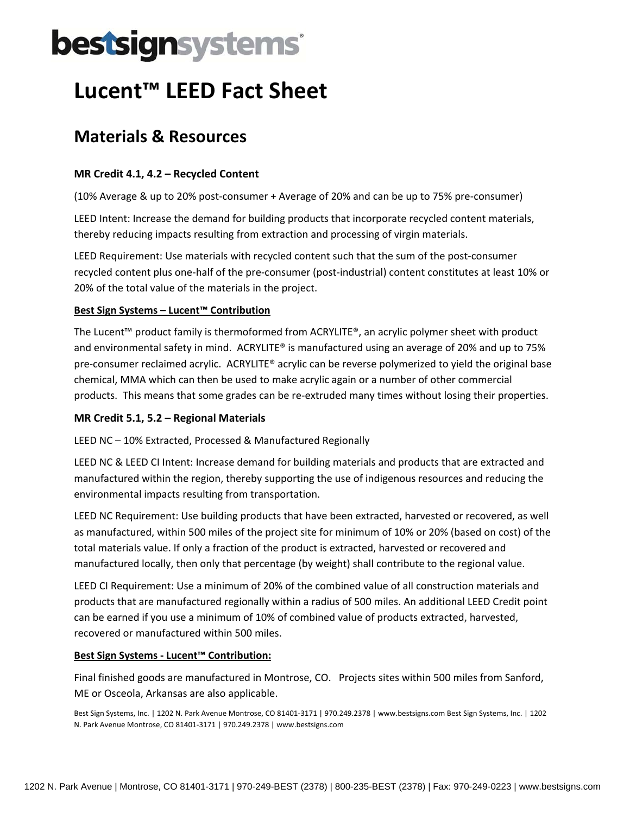# bestsignsystems

## **Lucent™ LEED Fact Sheet**

### **Materials & Resources**

#### **MR Credit 4.1, 4.2 – Recycled Content**

(10% Average & up to 20% post‐consumer + Average of 20% and can be up to 75% pre‐consumer)

LEED Intent: Increase the demand for building products that incorporate recycled content materials, thereby reducing impacts resulting from extraction and processing of virgin materials.

LEED Requirement: Use materials with recycled content such that the sum of the post-consumer recycled content plus one‐half of the pre‐consumer (post‐industrial) content constitutes at least 10% or 20% of the total value of the materials in the project.

#### **Best Sign Systems – Lucent™ Contribution**

The Lucent™ product family is thermoformed from ACRYLITE®, an acrylic polymer sheet with product and environmental safety in mind. ACRYLITE® is manufactured using an average of 20% and up to 75% pre‐consumer reclaimed acrylic. ACRYLITE® acrylic can be reverse polymerized to yield the original base chemical, MMA which can then be used to make acrylic again or a number of other commercial products. This means that some grades can be re‐extruded many times without losing their properties.

#### **MR Credit 5.1, 5.2 – Regional Materials**

LEED NC – 10% Extracted, Processed & Manufactured Regionally

LEED NC & LEED CI Intent: Increase demand for building materials and products that are extracted and manufactured within the region, thereby supporting the use of indigenous resources and reducing the environmental impacts resulting from transportation.

LEED NC Requirement: Use building products that have been extracted, harvested or recovered, as well as manufactured, within 500 miles of the project site for minimum of 10% or 20% (based on cost) of the total materials value. If only a fraction of the product is extracted, harvested or recovered and manufactured locally, then only that percentage (by weight) shall contribute to the regional value.

LEED CI Requirement: Use a minimum of 20% of the combined value of all construction materials and products that are manufactured regionally within a radius of 500 miles. An additional LEED Credit point can be earned if you use a minimum of 10% of combined value of products extracted, harvested, recovered or manufactured within 500 miles.

#### **Best Sign Systems ‐ Lucent™ Contribution:**

Final finished goods are manufactured in Montrose, CO. Projects sites within 500 miles from Sanford, ME or Osceola, Arkansas are also applicable.

Best Sign Systems, Inc. | 1202 N. Park Avenue Montrose, CO 81401‐3171 | 970.249.2378 | www.bestsigns.com Best Sign Systems, Inc. | 1202 N. Park Avenue Montrose, CO 81401‐3171 | 970.249.2378 | www.bestsigns.com